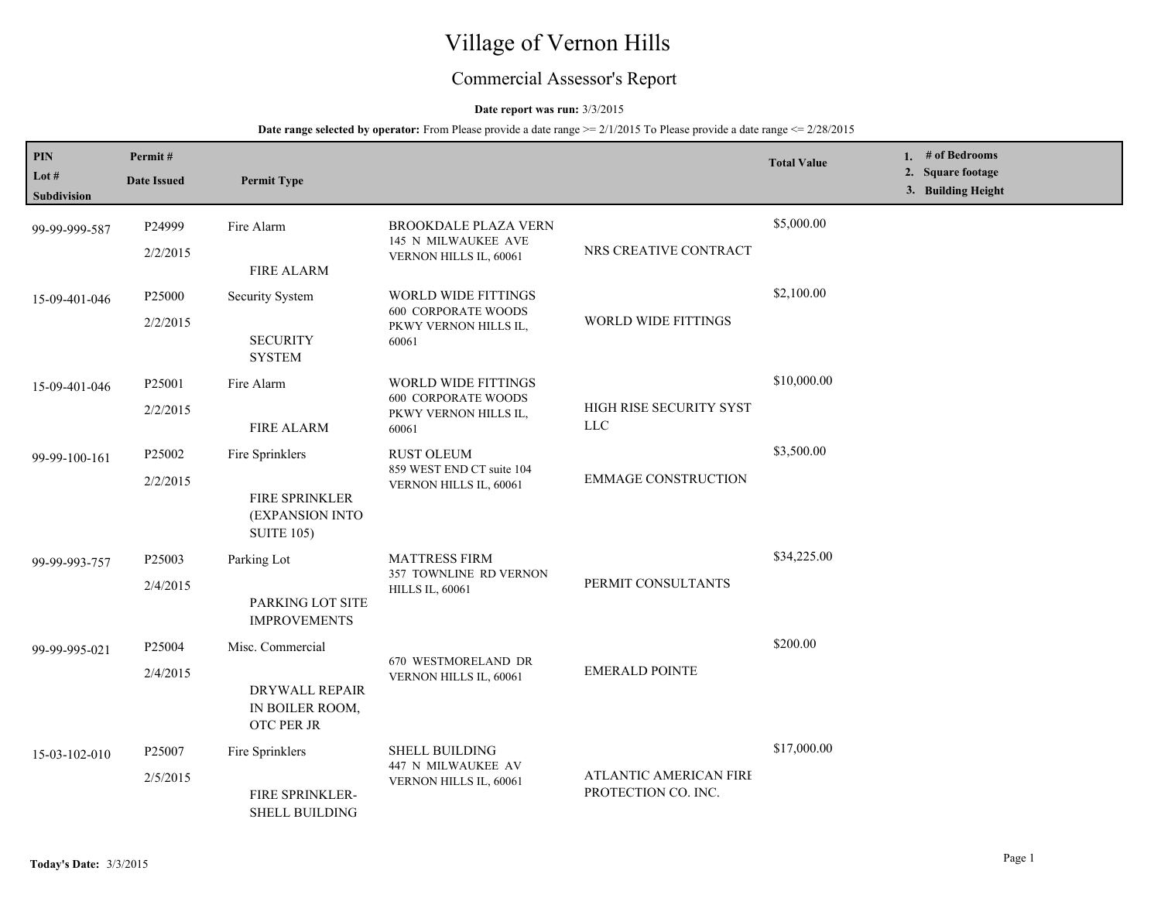# Village of Vernon Hills

## Commercial Assessor's Report

#### **Date report was run:** 3/3/2015

#### **Date range selected by operator:** From Please provide a date range  $\ge 2/1/2015$  To Please provide a date range  $\le 2/28/2015$

| PIN<br>Lot #<br>Subdivision | Permit#<br><b>Date Issued</b> | <b>Permit Type</b>                                                         |                                                                                            |                                               | <b>Total Value</b> | 1. $#$ of Bedrooms<br>2. Square footage<br>3. Building Height |
|-----------------------------|-------------------------------|----------------------------------------------------------------------------|--------------------------------------------------------------------------------------------|-----------------------------------------------|--------------------|---------------------------------------------------------------|
| 99-99-999-587               | P24999<br>2/2/2015            | Fire Alarm<br><b>FIRE ALARM</b>                                            | <b>BROOKDALE PLAZA VERN</b><br>145 N MILWAUKEE AVE<br>VERNON HILLS IL, 60061               | NRS CREATIVE CONTRACT                         | \$5,000.00         |                                                               |
| 15-09-401-046               | P25000<br>2/2/2015            | <b>Security System</b><br><b>SECURITY</b><br><b>SYSTEM</b>                 | <b>WORLD WIDE FITTINGS</b><br><b>600 CORPORATE WOODS</b><br>PKWY VERNON HILLS IL,<br>60061 | WORLD WIDE FITTINGS                           | \$2,100.00         |                                                               |
| 15-09-401-046               | P25001<br>2/2/2015            | Fire Alarm<br><b>FIRE ALARM</b>                                            | <b>WORLD WIDE FITTINGS</b><br><b>600 CORPORATE WOODS</b><br>PKWY VERNON HILLS IL,<br>60061 | HIGH RISE SECURITY SYST<br><b>LLC</b>         | \$10,000.00        |                                                               |
| 99-99-100-161               | P25002<br>2/2/2015            | Fire Sprinklers<br>FIRE SPRINKLER<br>(EXPANSION INTO<br><b>SUITE 105)</b>  | <b>RUST OLEUM</b><br>859 WEST END CT suite 104<br>VERNON HILLS IL, 60061                   | <b>EMMAGE CONSTRUCTION</b>                    | \$3,500.00         |                                                               |
| 99-99-993-757               | P25003<br>2/4/2015            | Parking Lot<br>PARKING LOT SITE<br><b>IMPROVEMENTS</b>                     | <b>MATTRESS FIRM</b><br>357 TOWNLINE RD VERNON<br><b>HILLS IL, 60061</b>                   | PERMIT CONSULTANTS                            | \$34,225.00        |                                                               |
| 99-99-995-021               | P25004<br>2/4/2015            | Misc. Commercial<br>DRYWALL REPAIR<br>IN BOILER ROOM,<br><b>OTC PER JR</b> | 670 WESTMORELAND DR<br>VERNON HILLS IL, 60061                                              | <b>EMERALD POINTE</b>                         | \$200.00           |                                                               |
| 15-03-102-010               | P25007<br>2/5/2015            | Fire Sprinklers<br>FIRE SPRINKLER-<br><b>SHELL BUILDING</b>                | <b>SHELL BUILDING</b><br>447 N MILWAUKEE AV<br>VERNON HILLS IL, 60061                      | ATLANTIC AMERICAN FIRE<br>PROTECTION CO. INC. | \$17,000.00        |                                                               |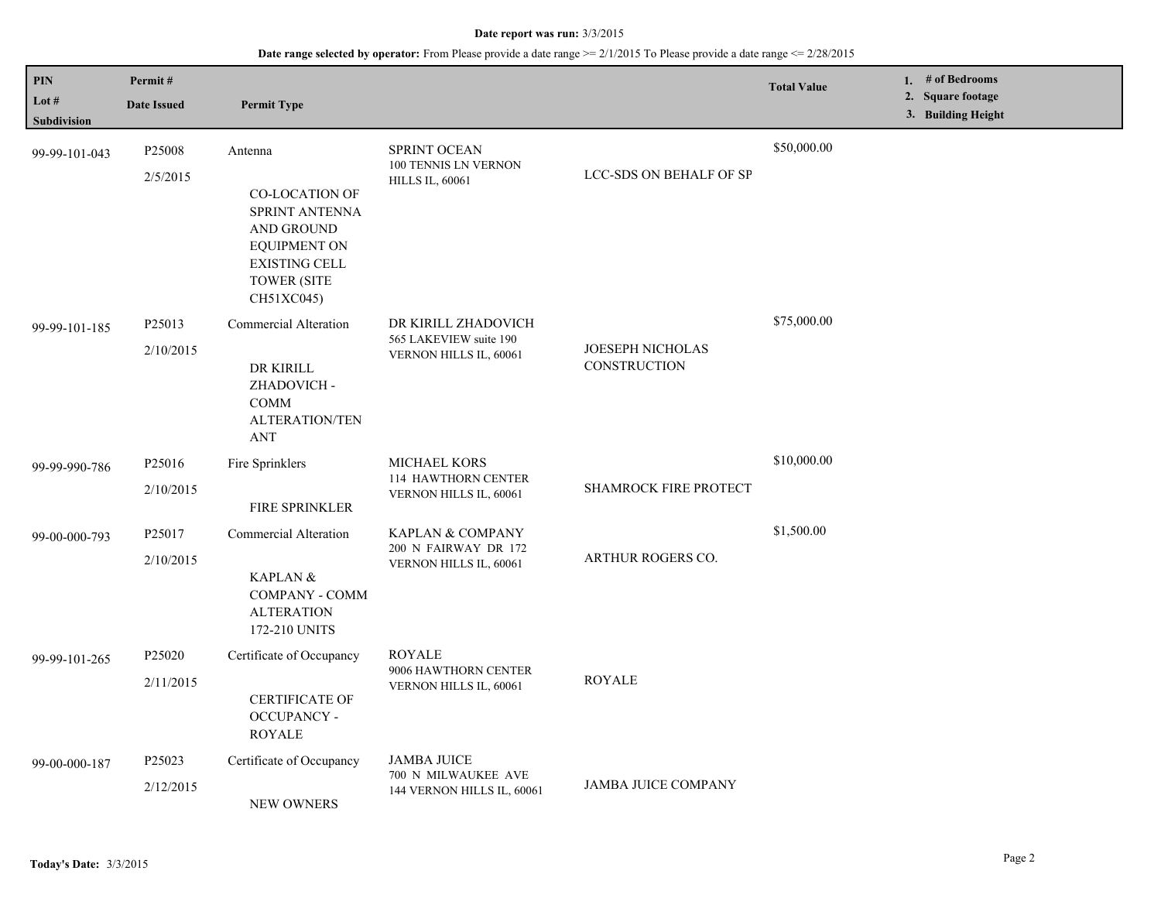#### **Date report was run:** 3/3/2015

## **Date range selected by operator:** From Please provide a date range >= 2/1/2015 To Please provide a date range <= 2/28/2015

| PIN                         | Permit#                         |                                                                                                                                                                   |                                                                               |                                         | <b>Total Value</b> | 1. # of Bedrooms                        |
|-----------------------------|---------------------------------|-------------------------------------------------------------------------------------------------------------------------------------------------------------------|-------------------------------------------------------------------------------|-----------------------------------------|--------------------|-----------------------------------------|
| Lot #<br><b>Subdivision</b> | <b>Date Issued</b>              | <b>Permit Type</b>                                                                                                                                                |                                                                               |                                         |                    | 2. Square footage<br>3. Building Height |
| 99-99-101-043               | P <sub>25008</sub><br>2/5/2015  | Antenna<br><b>CO-LOCATION OF</b><br><b>SPRINT ANTENNA</b><br><b>AND GROUND</b><br><b>EQUIPMENT ON</b><br><b>EXISTING CELL</b><br><b>TOWER (SITE</b><br>CH51XC045) | <b>SPRINT OCEAN</b><br>100 TENNIS LN VERNON<br><b>HILLS IL, 60061</b>         | <b>LCC-SDS ON BEHALF OF SP</b>          | \$50,000.00        |                                         |
| 99-99-101-185               | P25013<br>2/10/2015             | Commercial Alteration<br>DR KIRILL<br>ZHADOVICH-<br><b>COMM</b><br><b>ALTERATION/TEN</b><br>ANT                                                                   | DR KIRILL ZHADOVICH<br>565 LAKEVIEW suite 190<br>VERNON HILLS IL, 60061       | <b>JOESEPH NICHOLAS</b><br>CONSTRUCTION | \$75,000.00        |                                         |
| 99-99-990-786               | P25016<br>2/10/2015             | Fire Sprinklers<br>FIRE SPRINKLER                                                                                                                                 | MICHAEL KORS<br>114 HAWTHORN CENTER<br>VERNON HILLS IL, 60061                 | <b>SHAMROCK FIRE PROTECT</b>            | \$10,000.00        |                                         |
| 99-00-000-793               | P25017<br>2/10/2015             | Commercial Alteration<br>KAPLAN &<br><b>COMPANY - COMM</b><br><b>ALTERATION</b><br>172-210 UNITS                                                                  | <b>KAPLAN &amp; COMPANY</b><br>200 N FAIRWAY DR 172<br>VERNON HILLS IL, 60061 | <b>ARTHUR ROGERS CO.</b>                | \$1,500.00         |                                         |
| 99-99-101-265               | P25020<br>2/11/2015             | Certificate of Occupancy<br><b>CERTIFICATE OF</b><br><b>OCCUPANCY -</b><br><b>ROYALE</b>                                                                          | <b>ROYALE</b><br>9006 HAWTHORN CENTER<br>VERNON HILLS IL, 60061               | <b>ROYALE</b>                           |                    |                                         |
| 99-00-000-187               | P <sub>25023</sub><br>2/12/2015 | Certificate of Occupancy<br>NEW OWNERS                                                                                                                            | <b>JAMBA JUICE</b><br>700 N MILWAUKEE AVE<br>144 VERNON HILLS IL, 60061       | JAMBA JUICE COMPANY                     |                    |                                         |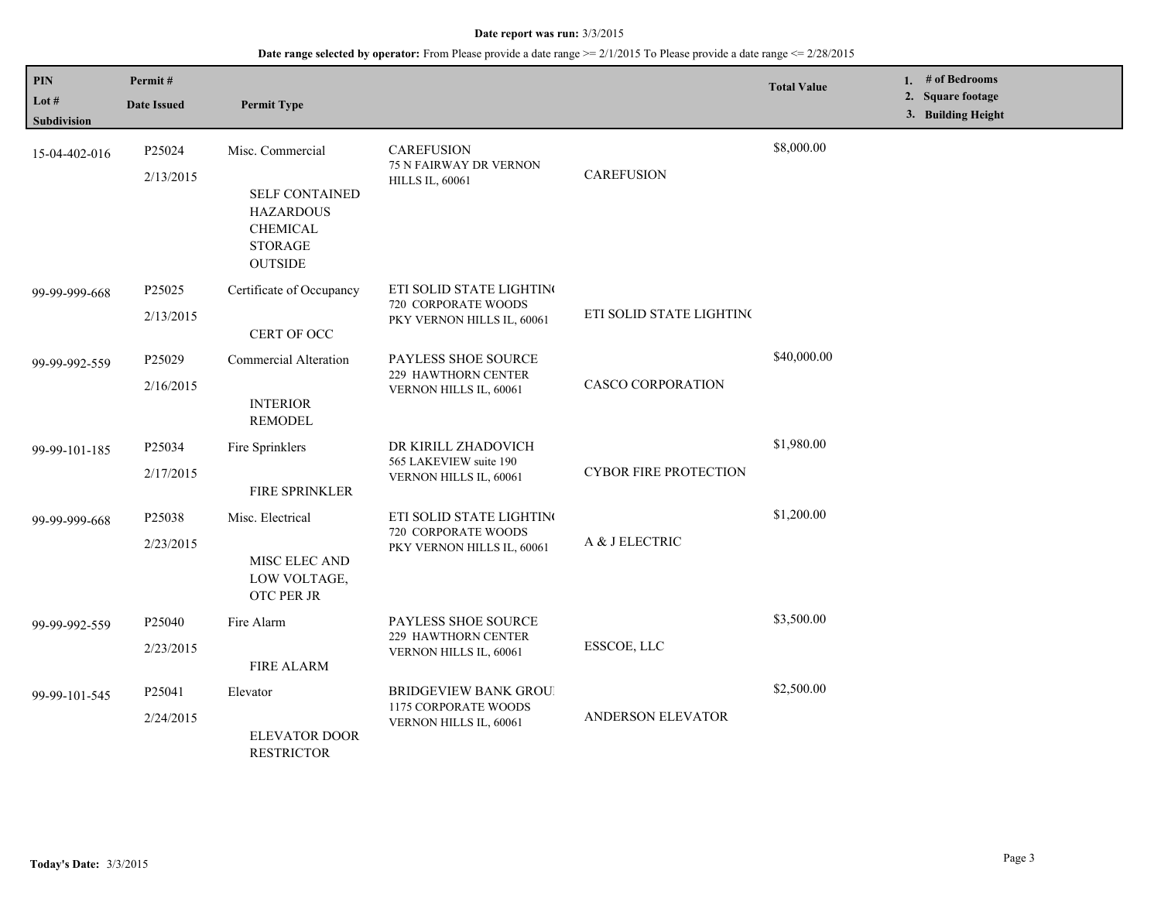#### **Date report was run:** 3/3/2015

## **Date range selected by operator:** From Please provide a date range >= 2/1/2015 To Please provide a date range <= 2/28/2015

| PIN<br>Lot #<br><b>Subdivision</b> | Permit#<br><b>Date Issued</b>   | <b>Permit Type</b>                                                                                                   |                                                                               |                              | <b>Total Value</b> | 1. # of Bedrooms<br>2. Square footage<br>3. Building Height |
|------------------------------------|---------------------------------|----------------------------------------------------------------------------------------------------------------------|-------------------------------------------------------------------------------|------------------------------|--------------------|-------------------------------------------------------------|
| 15-04-402-016                      | P25024<br>2/13/2015             | Misc. Commercial<br><b>SELF CONTAINED</b><br><b>HAZARDOUS</b><br><b>CHEMICAL</b><br><b>STORAGE</b><br><b>OUTSIDE</b> | <b>CAREFUSION</b><br>75 N FAIRWAY DR VERNON<br><b>HILLS IL, 60061</b>         | <b>CAREFUSION</b>            | \$8,000.00         |                                                             |
| 99-99-999-668                      | P <sub>25025</sub><br>2/13/2015 | Certificate of Occupancy<br>CERT OF OCC                                                                              | ETI SOLID STATE LIGHTING<br>720 CORPORATE WOODS<br>PKY VERNON HILLS IL, 60061 | ETI SOLID STATE LIGHTINC     |                    |                                                             |
| 99-99-992-559                      | P25029<br>2/16/2015             | <b>Commercial Alteration</b><br><b>INTERIOR</b><br><b>REMODEL</b>                                                    | PAYLESS SHOE SOURCE<br><b>229 HAWTHORN CENTER</b><br>VERNON HILLS IL, 60061   | <b>CASCO CORPORATION</b>     | \$40,000.00        |                                                             |
| 99-99-101-185                      | P25034<br>2/17/2015             | Fire Sprinklers<br>FIRE SPRINKLER                                                                                    | DR KIRILL ZHADOVICH<br>565 LAKEVIEW suite 190<br>VERNON HILLS IL, 60061       | <b>CYBOR FIRE PROTECTION</b> | \$1,980.00         |                                                             |
| 99-99-999-668                      | P25038<br>2/23/2015             | Misc. Electrical<br>MISC ELEC AND<br>LOW VOLTAGE,<br>OTC PER JR                                                      | ETI SOLID STATE LIGHTING<br>720 CORPORATE WOODS<br>PKY VERNON HILLS IL, 60061 | A & J ELECTRIC               | \$1,200.00         |                                                             |
| 99-99-992-559                      | P25040<br>2/23/2015             | Fire Alarm<br><b>FIRE ALARM</b>                                                                                      | PAYLESS SHOE SOURCE<br>229 HAWTHORN CENTER<br>VERNON HILLS IL, 60061          | ESSCOE, LLC                  | \$3,500.00         |                                                             |
| 99-99-101-545                      | P <sub>25041</sub><br>2/24/2015 | Elevator<br><b>ELEVATOR DOOR</b><br><b>RESTRICTOR</b>                                                                | <b>BRIDGEVIEW BANK GROU</b><br>1175 CORPORATE WOODS<br>VERNON HILLS IL, 60061 | ANDERSON ELEVATOR            | \$2,500.00         |                                                             |

L